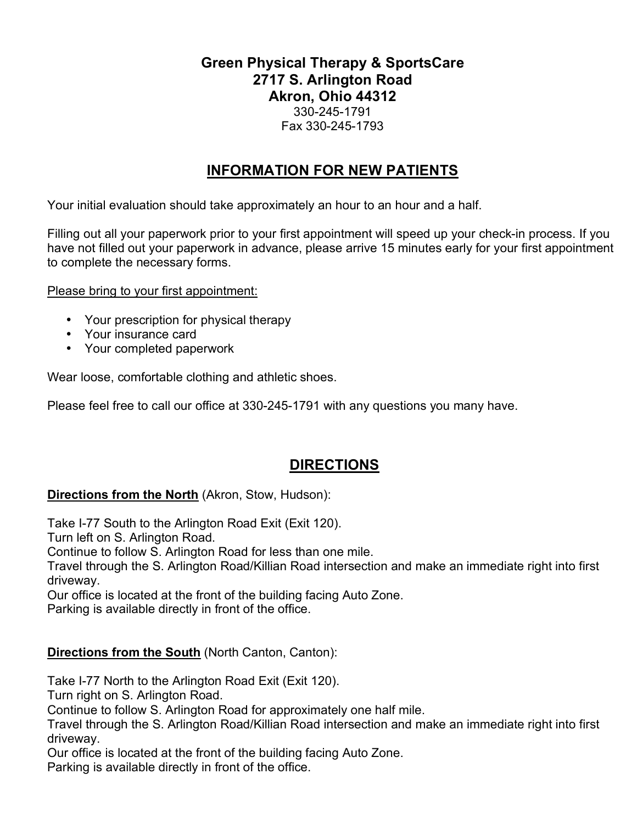## **Green Physical Therapy & SportsCare 2717 S. Arlington Road Akron, Ohio 44312** 330-245-1791 Fax 330-245-1793

## **INFORMATION FOR NEW PATIENTS**

Your initial evaluation should take approximately an hour to an hour and a half.

Filling out all your paperwork prior to your first appointment will speed up your check-in process. If you have not filled out your paperwork in advance, please arrive 15 minutes early for your first appointment to complete the necessary forms.

Please bring to your first appointment:

- Your prescription for physical therapy
- Your insurance card
- Your completed paperwork

Wear loose, comfortable clothing and athletic shoes.

Please feel free to call our office at 330-245-1791 with any questions you many have.

## **DIRECTIONS**

### **Directions from the North** (Akron, Stow, Hudson):

Take I-77 South to the Arlington Road Exit (Exit 120).

Turn left on S. Arlington Road.

Continue to follow S. Arlington Road for less than one mile.

Travel through the S. Arlington Road/Killian Road intersection and make an immediate right into first driveway.

Our office is located at the front of the building facing Auto Zone.

Parking is available directly in front of the office.

### **Directions from the South** (North Canton, Canton):

Take I-77 North to the Arlington Road Exit (Exit 120).

Turn right on S. Arlington Road.

Continue to follow S. Arlington Road for approximately one half mile.

Travel through the S. Arlington Road/Killian Road intersection and make an immediate right into first driveway.

Our office is located at the front of the building facing Auto Zone.

Parking is available directly in front of the office.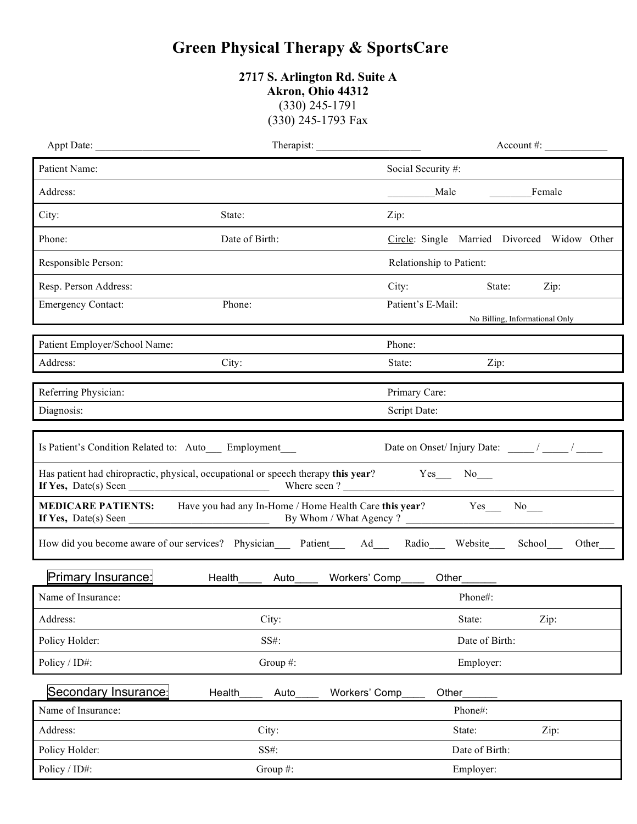## **Green Physical Therapy & SportsCare**

**2717 S. Arlington Rd. Suite A Akron, Ohio 44312** (330) 245-1791 (330) 245-1793 Fax

|                                                        | Therapist:<br>$Account \#:$                                                                                 |                    |                                             |
|--------------------------------------------------------|-------------------------------------------------------------------------------------------------------------|--------------------|---------------------------------------------|
| Patient Name:                                          |                                                                                                             | Social Security #: |                                             |
| Address:                                               |                                                                                                             |                    | Male<br>Female                              |
| City:                                                  | State:                                                                                                      | Zip:               |                                             |
| Phone:                                                 | Date of Birth:                                                                                              |                    | Circle: Single Married Divorced Widow Other |
| Responsible Person:                                    |                                                                                                             |                    | Relationship to Patient:                    |
| Resp. Person Address:                                  |                                                                                                             | City:              | State:<br>Zip:                              |
| <b>Emergency Contact:</b>                              | Phone:                                                                                                      | Patient's E-Mail:  |                                             |
|                                                        |                                                                                                             |                    | No Billing, Informational Only              |
| Patient Employer/School Name:                          |                                                                                                             | Phone:             |                                             |
| Address:                                               | City:                                                                                                       | State:             | Zip:                                        |
| Referring Physician:                                   |                                                                                                             | Primary Care:      |                                             |
| Diagnosis:                                             |                                                                                                             | Script Date:       |                                             |
| Is Patient's Condition Related to: Auto__ Employment__ | Has patient had chiropractic, physical, occupational or speech therapy this year? Yes_______ No____         |                    | Date on Onset/Injury Date: ____/___/____/   |
|                                                        | <b>MEDICARE PATIENTS:</b> Have you had any In-Home / Home Health Care this year? Yes                        |                    | $No$ <sub>___</sub>                         |
|                                                        | How did you become aware of our services? Physician____ Patient_____ Ad____ Radio____ Website____ School___ |                    | Other                                       |
| <b>Primary Insurance:</b>                              | Health<br>Auto                                                                                              | Workers' Comp      | Other____                                   |
| Name of Insurance:                                     |                                                                                                             |                    | Phone#:                                     |
| Address:                                               | City:                                                                                                       |                    | State:<br>Zip:                              |
| Policy Holder:                                         | SS#:                                                                                                        |                    | Date of Birth:                              |
| Policy / ID#:                                          | Group #:                                                                                                    |                    | Employer:                                   |
| Secondary Insurance:                                   | Health<br>Auto                                                                                              | Workers' Comp      | Other                                       |
| Name of Insurance:                                     |                                                                                                             |                    | Phone#:                                     |
| Address:                                               | City:                                                                                                       |                    | State:<br>Zip:                              |
| Policy Holder:                                         | SS#:                                                                                                        |                    | Date of Birth:                              |
| Policy / ID#:                                          | Group #:                                                                                                    |                    | Employer:                                   |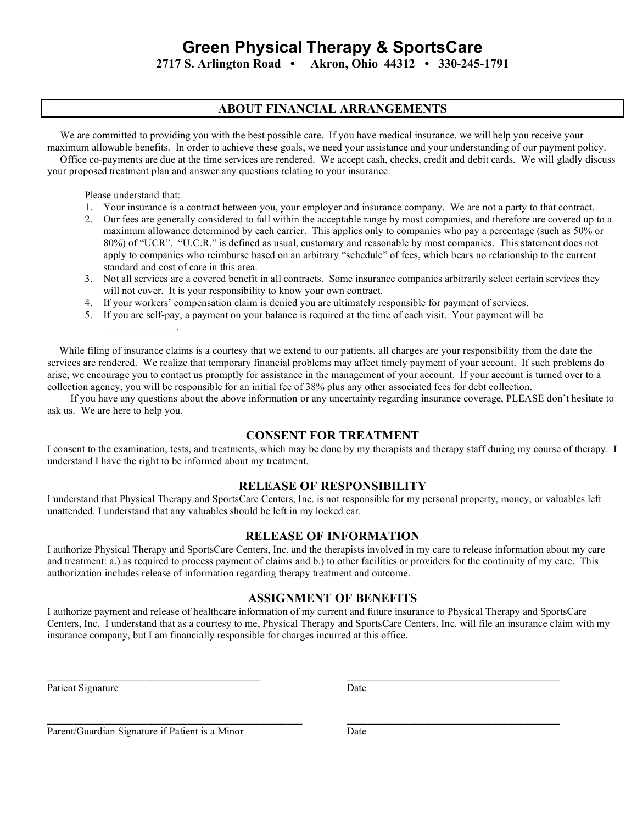# **Green Physical Therapy & SportsCare**

**2717 S. Arlington Road • Akron, Ohio 44312 • 330-245-1791**

#### **ABOUT FINANCIAL ARRANGEMENTS**

We are committed to providing you with the best possible care. If you have medical insurance, we will help you receive your

maximum allowable benefits. In order to achieve these goals, we need your assistance and your understanding of our payment policy. Office co-payments are due at the time services are rendered. We accept cash, checks, credit and debit cards. We will gladly discuss your proposed treatment plan and answer any questions relating to your insurance.

Please understand that:

 $\mathcal{L}_\text{max}$  and  $\mathcal{L}_\text{max}$ 

- 1. Your insurance is a contract between you, your employer and insurance company. We are not a party to that contract.
- 2. Our fees are generally considered to fall within the acceptable range by most companies, and therefore are covered up to a maximum allowance determined by each carrier. This applies only to companies who pay a percentage (such as 50% or 80%) of "UCR". "U.C.R." is defined as usual, customary and reasonable by most companies. This statement does not apply to companies who reimburse based on an arbitrary "schedule" of fees, which bears no relationship to the current standard and cost of care in this area.
- 3. Not all services are a covered benefit in all contracts. Some insurance companies arbitrarily select certain services they will not cover. It is your responsibility to know your own contract.
- 4. If your workers' compensation claim is denied you are ultimately responsible for payment of services.
- 5. If you are self-pay, a payment on your balance is required at the time of each visit. Your payment will be

While filing of insurance claims is a courtesy that we extend to our patients, all charges are your responsibility from the date the services are rendered. We realize that temporary financial problems may affect timely payment of your account. If such problems do arise, we encourage you to contact us promptly for assistance in the management of your account. If your account is turned over to a collection agency, you will be responsible for an initial fee of 38% plus any other associated fees for debt collection.

 If you have any questions about the above information or any uncertainty regarding insurance coverage, PLEASE don't hesitate to ask us. We are here to help you.

#### **CONSENT FOR TREATMENT**

I consent to the examination, tests, and treatments, which may be done by my therapists and therapy staff during my course of therapy. I understand I have the right to be informed about my treatment.

#### **RELEASE OF RESPONSIBILITY**

I understand that Physical Therapy and SportsCare Centers, Inc. is not responsible for my personal property, money, or valuables left unattended. I understand that any valuables should be left in my locked car.

#### **RELEASE OF INFORMATION**

I authorize Physical Therapy and SportsCare Centers, Inc. and the therapists involved in my care to release information about my care and treatment: a.) as required to process payment of claims and b.) to other facilities or providers for the continuity of my care. This authorization includes release of information regarding therapy treatment and outcome.

#### **ASSIGNMENT OF BENEFITS**

I authorize payment and release of healthcare information of my current and future insurance to Physical Therapy and SportsCare Centers, Inc. I understand that as a courtesy to me, Physical Therapy and SportsCare Centers, Inc. will file an insurance claim with my insurance company, but I am financially responsible for charges incurred at this office.

**\_\_\_\_\_\_\_\_\_\_\_\_\_\_\_\_\_\_\_\_\_\_\_\_\_\_\_\_\_\_\_\_\_\_\_\_\_\_\_\_\_\_\_\_\_\_\_\_\_ \_\_\_\_\_\_\_\_\_\_\_\_\_\_\_\_\_\_\_\_\_\_\_\_\_\_\_\_\_\_\_\_\_\_\_\_\_\_\_\_\_**

Patient Signature Date

Parent/Guardian Signature if Patient is a Minor Date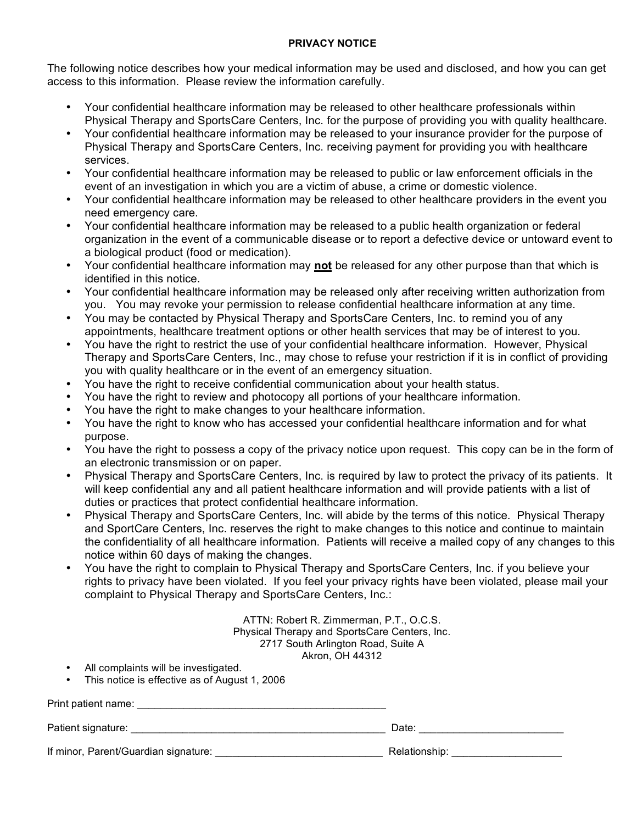#### **PRIVACY NOTICE**

The following notice describes how your medical information may be used and disclosed, and how you can get access to this information. Please review the information carefully.

- Your confidential healthcare information may be released to other healthcare professionals within Physical Therapy and SportsCare Centers, Inc. for the purpose of providing you with quality healthcare.
- Your confidential healthcare information may be released to your insurance provider for the purpose of Physical Therapy and SportsCare Centers, Inc. receiving payment for providing you with healthcare services.
- Your confidential healthcare information may be released to public or law enforcement officials in the event of an investigation in which you are a victim of abuse, a crime or domestic violence.
- Your confidential healthcare information may be released to other healthcare providers in the event you need emergency care.
- Your confidential healthcare information may be released to a public health organization or federal organization in the event of a communicable disease or to report a defective device or untoward event to a biological product (food or medication).
- Your confidential healthcare information may **not** be released for any other purpose than that which is identified in this notice.
- Your confidential healthcare information may be released only after receiving written authorization from you. You may revoke your permission to release confidential healthcare information at any time.
- You may be contacted by Physical Therapy and SportsCare Centers, Inc. to remind you of any appointments, healthcare treatment options or other health services that may be of interest to you.
- You have the right to restrict the use of your confidential healthcare information. However, Physical Therapy and SportsCare Centers, Inc., may chose to refuse your restriction if it is in conflict of providing you with quality healthcare or in the event of an emergency situation.
- You have the right to receive confidential communication about your health status.
- You have the right to review and photocopy all portions of your healthcare information.
- You have the right to make changes to your healthcare information.
- You have the right to know who has accessed your confidential healthcare information and for what purpose.
- You have the right to possess a copy of the privacy notice upon request. This copy can be in the form of an electronic transmission or on paper.
- Physical Therapy and SportsCare Centers, Inc. is required by law to protect the privacy of its patients. It will keep confidential any and all patient healthcare information and will provide patients with a list of duties or practices that protect confidential healthcare information.
- Physical Therapy and SportsCare Centers, Inc. will abide by the terms of this notice. Physical Therapy and SportCare Centers, Inc. reserves the right to make changes to this notice and continue to maintain the confidentiality of all healthcare information. Patients will receive a mailed copy of any changes to this notice within 60 days of making the changes.
- You have the right to complain to Physical Therapy and SportsCare Centers, Inc. if you believe your rights to privacy have been violated. If you feel your privacy rights have been violated, please mail your complaint to Physical Therapy and SportsCare Centers, Inc.:

ATTN: Robert R. Zimmerman, P.T., O.C.S. Physical Therapy and SportsCare Centers, Inc. 2717 South Arlington Road, Suite A Akron, OH 44312

- All complaints will be investigated.
- This notice is effective as of August 1, 2006

Print patient name: \_\_\_\_\_\_\_\_\_\_\_\_\_\_\_\_\_\_\_\_\_\_\_\_\_\_\_\_\_\_\_\_\_\_\_\_\_\_\_\_\_\_\_

Patient signature: \_\_\_\_\_\_\_\_\_\_\_\_\_\_\_\_\_\_\_\_\_\_\_\_\_\_\_\_\_\_\_\_\_\_\_\_\_\_\_\_\_\_\_\_ Date: \_\_\_\_\_\_\_\_\_\_\_\_\_\_\_\_\_\_\_\_\_\_\_\_\_

If minor, Parent/Guardian signature: \_\_\_\_\_\_\_\_\_\_\_\_\_\_\_\_\_\_\_\_\_\_\_\_\_\_\_\_\_ Relationship: \_\_\_\_\_\_\_\_\_\_\_\_\_\_\_\_\_\_\_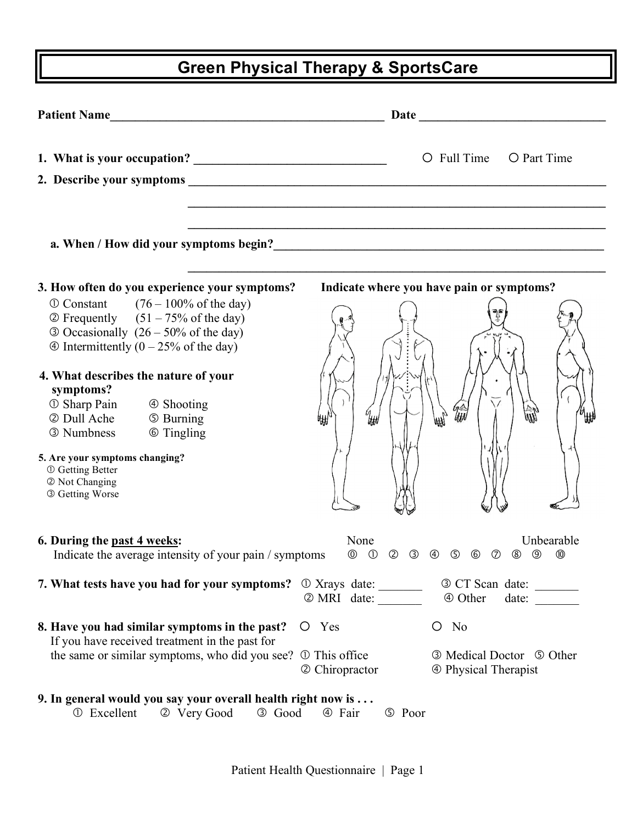# **Green Physical Therapy & SportsCare**

|                                                           | O Full Time<br>O Part Time                                                                                                                                                 |
|-----------------------------------------------------------|----------------------------------------------------------------------------------------------------------------------------------------------------------------------------|
|                                                           |                                                                                                                                                                            |
|                                                           |                                                                                                                                                                            |
|                                                           | a. When / How did your symptoms begin?<br><u>Letting and the contract of the symptoms begin</u> and the symptoms begin and the symptoms of the symptoms of the s           |
| 3. How often do you experience your symptoms?             | Indicate where you have pain or symptoms?                                                                                                                                  |
| $\Phi$ Constant (76 – 100% of the day)                    |                                                                                                                                                                            |
| $\textcircled{2}$ Frequently (51 – 75% of the day)        |                                                                                                                                                                            |
| $\odot$ Occasionally (26 – 50% of the day)                |                                                                                                                                                                            |
| $\circledA$ Intermittently (0 – 25% of the day)           |                                                                                                                                                                            |
|                                                           |                                                                                                                                                                            |
| 4. What describes the nature of your<br>symptoms?         |                                                                                                                                                                            |
| 1 ① Sharp Pain 4 Shooting                                 |                                                                                                                                                                            |
| 2 Dull Ache<br><b>5 Burning</b>                           | W<br>mm                                                                                                                                                                    |
| 3 Numbness<br><b>6 Tingling</b>                           |                                                                                                                                                                            |
|                                                           |                                                                                                                                                                            |
| 5. Are your symptoms changing?<br><b>① Getting Better</b> |                                                                                                                                                                            |
| 2 Not Changing                                            |                                                                                                                                                                            |
| 3 Getting Worse                                           |                                                                                                                                                                            |
|                                                           |                                                                                                                                                                            |
| 6. During the past 4 weeks:                               | None<br>Unbearable                                                                                                                                                         |
| Indicate the average intensity of your pain / symptoms    | $\circled{0}$<br>$^{\circledR}$<br>$\circledcirc$<br>$\circledS$<br>$\circledS$<br>$\circledcirc$<br>$\circled{2}$<br>③<br>$\circledA$<br>$\circledcirc$<br>$^{\circledR}$ |
| 7. What tests have you had for your symptoms?             | $\odot$ Xrays date:<br>3 CT Scan date:                                                                                                                                     |
|                                                           | 2 MRI date:<br>4 Other<br>date:                                                                                                                                            |
| 8. Have you had similar symptoms in the past?             | $O$ No<br>O Yes                                                                                                                                                            |
| If you have received treatment in the past for            |                                                                                                                                                                            |
| the same or similar symptoms, who did you see?            | 1 This office<br><b>3</b> Medical Doctor <b>5</b> Other<br>2 Chiropractor<br><b>4</b> Physical Therapist                                                                   |
|                                                           |                                                                                                                                                                            |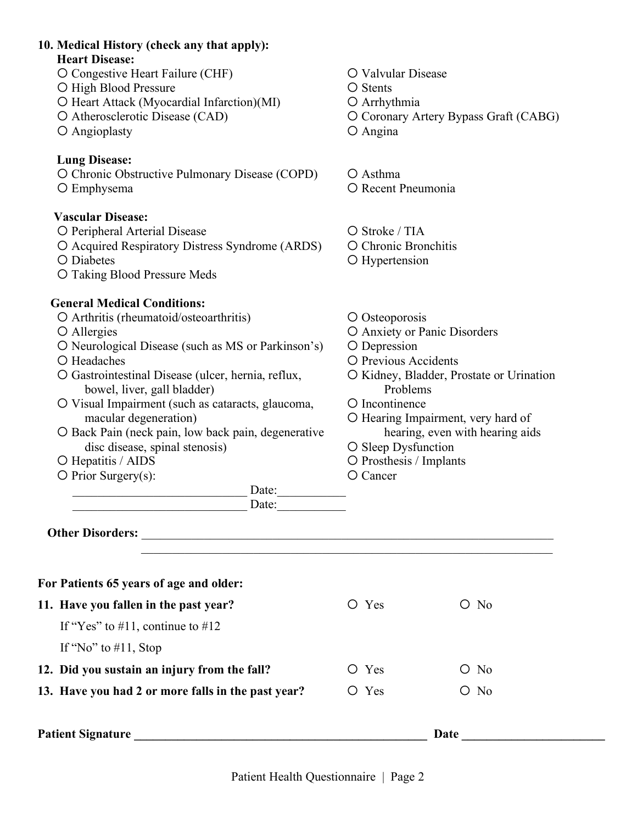## **10. Medical History (check any that apply): Heart Disease:** O Congestive Heart Failure (CHF)  $\qquad \qquad$  O Valvular Disease O High Blood Pressure **Stents** O Stents O Heart Attack (Myocardial Infarction)(MI) O Arrhythmia O Atherosclerotic Disease (CAD) Coronary Artery Bypass Graft (CABG) O Angioplasty C Angina **Lung Disease:** O Chronic Obstructive Pulmonary Disease (COPD) O Asthma O Emphysema  $\bigcirc$  Recent Pneumonia **Vascular Disease:** O Peripheral Arterial Disease **Stroke / TIA**  Acquired Respiratory Distress Syndrome (ARDS) Chronic Bronchitis O Diabetes C Hypertension O Taking Blood Pressure Meds **General Medical Conditions:** O Arthritis (rheumatoid/osteoarthritis)  $\qquad$  O Osteoporosis O Allergies C Anxiety or Panic Disorders  $\overline{O}$  Neurological Disease (such as MS or Parkinson's)  $\overline{O}$  Depression Headaches Previous Accidents O Gastrointestinal Disease (ulcer, hernia, reflux, O Kidney, Bladder, Prostate or Urination bowel, liver, gall bladder) Problems O Visual Impairment (such as cataracts, glaucoma, O Incontinence macular degeneration)  $\bigcirc$  Hearing Impairment, very hard of O Back Pain (neck pain, low back pain, degenerative hearing, even with hearing aids  $\alpha$  disc disease, spinal stenosis)  $\alpha$  Sleep Dysfunction O Hepatitis / AIDS 
Q Prosthesis / Implants  $\overline{O}$  Prior Surgery(s):  $\overline{O}$  Cancer \_\_\_\_\_\_\_\_\_\_\_\_\_\_\_\_\_\_\_\_\_\_\_\_\_\_\_\_ Date:\_\_\_\_\_\_\_\_\_\_\_ \_\_\_\_\_\_\_\_\_\_\_\_\_\_\_\_\_\_\_\_\_\_\_\_\_\_\_\_ Date:\_\_\_\_\_\_\_\_\_\_\_ Other Disorders:  $\mathcal{L}_\text{max}$  , and the contribution of the contribution of the contribution of the contribution of the contribution of the contribution of the contribution of the contribution of the contribution of the contribution of t **For Patients 65 years of age and older: 11. Have you fallen in the past year?**  $O \text{ Yes}$   $O \text{ No}$ If "Yes" to  $\#11$ , continue to  $\#12$ If "No" to  $\#11$ , Stop **12. Did you sustain an injury from the fall?**  $O \text{ Yes}$   $O \text{ No}$ **13. Have you had 2 or more falls in the past year?**  $\qquad$   $\qquad$  Yes  $\qquad$   $\qquad$  No Patient Signature **Date Date**